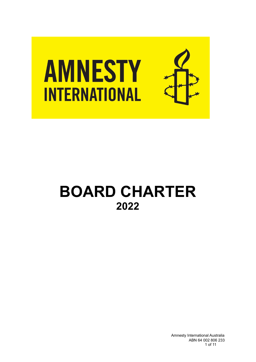

# **BOARD CHARTER 2022**

Amnesty International Australia ABN 64 002 806 233 1 of 11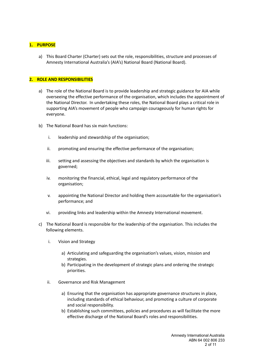#### **1. PURPOSE**

a) This Board Charter (Charter) sets out the role, responsibilities, structure and processes of Amnesty International Australia's (AIA's) National Board (National Board).

# **2. ROLE AND RESPONSIBILITIES**

- a) The role of the National Board is to provide leadership and strategic guidance for AIA while overseeing the effective performance of the organisation, which includes the appointment of the National Director. In undertaking these roles, the National Board plays a critical role in supporting AIA's movement of people who campaign courageously for human rights for everyone.
- b) The National Board has six main functions:
	- i. leadership and stewardship of the organisation;
	- ii. promoting and ensuring the effective performance of the organisation;
	- iii. setting and assessing the objectives and standards by which the organisation is governed;
	- iv. monitoring the financial, ethical, legal and regulatory performance of the organisation;
	- v. appointing the National Director and holding them accountable for the organisation's performance; and
	- vi. providing links and leadership within the Amnesty International movement.
- c) The National Board is responsible for the leadership of the organisation. This includes the following elements.
	- i. Vision and Strategy
		- a) Articulating and safeguarding the organisation's values, vision, mission and strategies.
		- b) Participating in the development of strategic plans and ordering the strategic priorities.
	- ii. Governance and Risk Management
		- a) Ensuring that the organisation has appropriate governance structures in place, including standards of ethical behaviour, and promoting a culture of corporate and social responsibility.
		- b) Establishing such committees, policies and procedures as will facilitate the more effective discharge of the National Board's roles and responsibilities.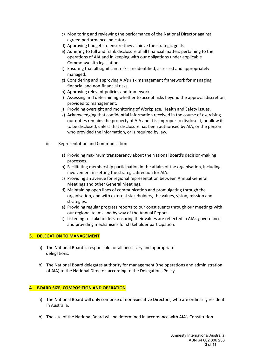- c) Monitoring and reviewing the performance of the National Director against agreed performance indicators.
- d) Approving budgets to ensure they achieve the strategic goals.
- e) Adhering to full and frank disclosure of all financial matters pertaining to the operations of AIA and in keeping with our obligations under applicable Commonwealth legislation.
- f) Ensuring that all significant risks are identified, assessed and appropriately managed.
- g) Considering and approving AIA's risk management framework for managing financial and non-financial risks.
- h) Approving relevant policies and frameworks.
- i) Assessing and determining whether to accept risks beyond the approval discretion provided to management.
- j) Providing oversight and monitoring of Workplace, Health and Safety issues.
- k) Acknowledging that confidential information received in the course of exercising our duties remains the property of AIA and it is improper to disclose it, or allow it to be disclosed, unless that disclosure has been authorised by AIA, or the person who provided the information, or is required by law.
- iii. Representation and Communication
	- a) Providing maximum transparency about the National Board's decision-making processes.
	- b) Facilitating membership participation in the affairs of the organisation, including involvement in setting the strategic direction for AIA.
	- c) Providing an avenue for regional representation between Annual General Meetings and other General Meetings.
	- d) Maintaining open lines of communication and promulgating through the organisation, and with external stakeholders, the values, vision, mission and strategies.
	- e) Providing regular progress reports to our constituents through our meetings with our regional teams and by way of the Annual Report.
	- f) Listening to stakeholders, ensuring their values are reflected in AIA's governance, and providing mechanisms for stakeholder participation.

# **3. DELEGATION TO MANAGEMENT**

- a) The National Board is responsible for all necessary and appropriate delegations.
- b) The National Board delegates authority for management (the operations and administration of AIA) to the National Director, according to the Delegations Policy.

# **4. BOARD SIZE, COMPOSITION AND OPERATION**

- a) The National Board will only comprise of non-executive Directors, who are ordinarily resident in Australia.
- b) The size of the National Board will be determined in accordance with AIA's Constitution.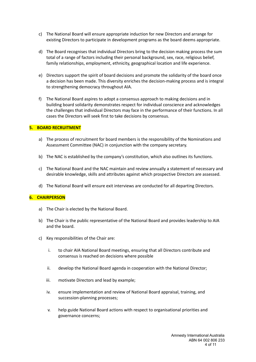- c) The National Board will ensure appropriate induction for new Directors and arrange for existing Directors to participate in development programs as the board deems appropriate.
- d) The Board recognises that individual Directors bring to the decision making process the sum total of a range of factors including their personal background, sex, race, religious belief, family relationships, employment, ethnicity, geographical location and life experience.
- e) Directors support the spirit of board decisions and promote the solidarity of the board once a decision has been made. This diversity enriches the decision-making process and is integral to strengthening democracy throughout AIA.
- f) The National Board aspires to adopt a consensus approach to making decisions and in building board solidarity demonstrates respect for individual conscience and acknowledges the challenges that individual Directors may face in the performance of their functions. In all cases the Directors will seek first to take decisions by consensus.

#### **5. BOARD RECRUITMENT**

- a) The process of recruitment for board members is the responsibility of the Nominations and Assessment Committee (NAC) in conjunction with the company secretary.
- b) The NAC is established by the company's constitution, which also outlines its functions.
- c) The National Board and the NAC maintain and review annually a statement of necessary and desirable knowledge, skills and attributes against which prospective Directors are assessed.
- d) The National Board will ensure exit interviews are conducted for all departing Directors.

#### **6. CHAIRPERSON**

- a) The Chair is elected by the National Board.
- b) The Chair is the public representative of the National Board and provides leadership to AIA and the board.
- c) Key responsibilities of the Chair are:
	- i. to chair AIA National Board meetings, ensuring that all Directors contribute and consensus is reached on decisions where possible
	- ii. develop the National Board agenda in cooperation with the National Director;
	- iii. motivate Directors and lead by example;
	- iv. ensure implementation and review of National Board appraisal, training, and succession-planning processes;
	- v. help guide National Board actions with respect to organisational priorities and governance concerns;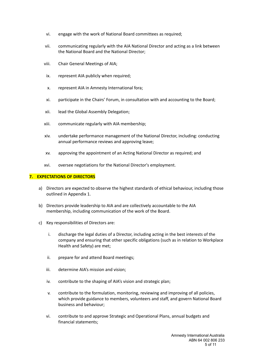- vi. engage with the work of National Board committees as required;
- vii. communicating regularly with the AIA National Director and acting as a link between the National Board and the National Director;
- viii. Chair General Meetings of AIA;
- ix. represent AIA publicly when required;
- x. represent AIA in Amnesty International fora;
- xi. participate in the Chairs' Forum, in consultation with and accounting to the Board;
- xii. lead the Global Assembly Delegation;
- xiii. communicate regularly with AIA membership;
- xiv. undertake performance management of the National Director, including: conducting annual performance reviews and approving leave;
- xv. approving the appointment of an Acting National Director as required; and
- xvi. oversee negotiations for the National Director's employment.

# **7. EXPECTATIONS OF DIRECTORS**

- a) Directors are expected to observe the highest standards of ethical behaviour, including those outlined in Appendix 1.
- b) Directors provide leadership to AIA and are collectively accountable to the AIA membership, including communication of the work of the Board.
- c) Key responsibilities of Directors are:
	- i. discharge the legal duties of a Director, including acting in the best interests of the company and ensuring that other specific obligations (such as in relation to Workplace Health and Safety) are met;
	- ii. prepare for and attend Board meetings;
	- iii. determine AIA's mission and vision;
	- iv. contribute to the shaping of AIA's vision and strategic plan;
	- v. contribute to the formulation, monitoring, reviewing and improving of all policies, which provide guidance to members, volunteers and staff, and govern National Board business and behaviour;
	- vi. contribute to and approve Strategic and Operational Plans, annual budgets and financial statements;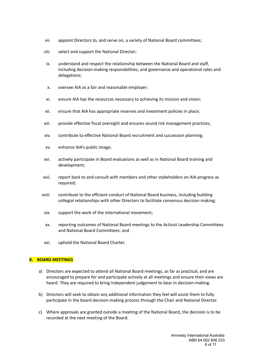- vii. appoint Directors to, and serve on, a variety of National Board committees;
- viii. select and support the National Director;
- ix. understand and respect the relationship between the National Board and staff, including decision-making responsibilities, and governance and operational roles and delegations;
- x. oversee AIA as a fair and reasonable employer;
- xi. ensure AIA has the resources necessary to achieving its mission and vision;
- xii. ensure that AIA has appropriate reserves and investment policies in place;
- xiii. provide effective fiscal oversight and ensures sound risk management practices;
- xiv. contribute to effective National Board recruitment and succession planning;
- xv. enhance AIA's public image;
- xvi. actively participate in Board evaluations as well as in National Board training and development;
- xvii. report back to and consult with members and other stakeholders on AIA progress as required;
- xviii. contribute to the efficient conduct of National Board business, including building collegial relationships with other Directors to facilitate consensus decision making;
- xix. support the work of the international movement;
- xx. reporting outcomes of National Board meetings to the Activist Leadership Committees and National Board Committees; and
- xxi. uphold the National Board Charter.

# **8. BOARD MEETINGS**

- a) Directors are expected to attend all National Board meetings, as far as practical, and are encouraged to prepare for and participate actively at all meetings and ensure their views are heard. They are required to bring independent judgement to bear in decision-making.
- b) Directors will seek to obtain any additional information they feel will assist them to fully participate in the board decision-making process through the Chair and National Director.
- c) Where approvals are granted outside a meeting of the National Board, the decision is to be recorded at the next meeting of the Board.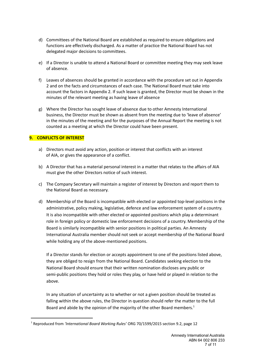- d) Committees of the National Board are established as required to ensure obligations and functions are effectively discharged. As a matter of practice the National Board has not delegated major decisions to committees.
- e) If a Director is unable to attend a National Board or committee meeting they may seek leave of absence.
- f) Leaves of absences should be granted in accordance with the procedure set out in Appendix 2 and on the facts and circumstances of each case. The National Board must take into account the factors in Appendix 2. If such leave is granted, the Director must be shown in the minutes of the relevant meeting as having leave of absence
- g) Where the Director has sought leave of absence due to other Amnesty International business, the Director must be shown as absent from the meeting due to 'leave of absence' in the minutes of the meeting and for the purposes of the Annual Report the meeting is not counted as a meeting at which the Director could have been present.

# **9. CONFLICTS OF INTEREST**

- a) Directors must avoid any action, position or interest that conflicts with an interest of AIA, or gives the appearance of a conflict.
- b) A Director that has a material personal interest in a matter that relates to the affairs of AIA must give the other Directors notice of such interest.
- c) The Company Secretary will maintain a register of interest by Directors and report them to the National Board as necessary.
- d) Membership of the Board is incompatible with elected or appointed top-level positions in the administrative, policy making, legislative, defence and law enforcement system of a country. It is also incompatible with other elected or appointed positions which play a determinant role in foreign policy or domestic law enforcement decisions of a country. Membership of the Board is similarly incompatible with senior positions in political parties. An Amnesty International Australia member should not seek or accept membership of the National Board while holding any of the above-mentioned positions.

If a Director stands for election or accepts appointment to one of the positions listed above, they are obliged to resign from the National Board. Candidates seeking election to the National Board should ensure that their written nomination discloses any public or semi-public positions they hold or roles they play, or have held or played in relation to the above.

In any situation of uncertainty as to whether or not a given position should be treated as falling within the above rules, the Director in question should refer the matter to the full Board and abide by the opinion of the majority of the other Board members.<sup>1</sup>

<sup>1</sup> Reproduced from *'International Board Working Rules'* ORG 70/1599/2015 section 9.2, page 12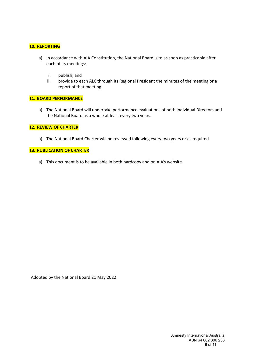# **10. REPORTING**

- a) In accordance with AIA Constitution, the National Board is to as soon as practicable after each of its meetings:
	- i. publish; and
	- ii. provide to each ALC through its Regional President the minutes of the meeting or a report of that meeting.

# **11. BOARD PERFORMANCE**

a) The National Board will undertake performance evaluations of both individual Directors and the National Board as a whole at least every two years.

# **12. REVIEW OF CHARTER**

a) The National Board Charter will be reviewed following every two years or as required.

#### **13. PUBLICATION OF CHARTER**

a) This document is to be available in both hardcopy and on AIA's website.

Adopted by the National Board 21 May 2022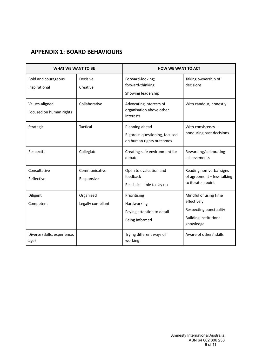# **APPENDIX 1: BOARD BEHAVIOURS**

| <b>WHAT WE WANT TO BE</b>                   |                                | <b>HOW WE WANT TO ACT</b>                                                   |                                                                                                              |
|---------------------------------------------|--------------------------------|-----------------------------------------------------------------------------|--------------------------------------------------------------------------------------------------------------|
| <b>Bold and courageous</b><br>Inspirational | Decisive<br>Creative           | Forward-looking;<br>forward-thinking<br>Showing leadership                  | Taking ownership of<br>decisions                                                                             |
| Values-aligned<br>Focused on human rights   | Collaborative                  | Advocating interests of<br>organisation above other<br>interests            | With candour; honestly                                                                                       |
| Strategic                                   | Tactical                       | Planning ahead<br>Rigorous questioning, focused<br>on human rights outcomes | With consistency $-$<br>honouring past decisions                                                             |
| Respectful                                  | Collegiate                     | Creating safe environment for<br>debate                                     | Rewarding/celebrating<br>achievements                                                                        |
| Consultative<br>Reflective                  | Communicative<br>Responsive    | Open to evaluation and<br>feedback<br>Realistic - able to say no            | Reading non-verbal signs<br>of agreement - less talking<br>to iterate a point                                |
| Diligent<br>Competent                       | Organised<br>Legally compliant | Prioritising<br>Hardworking<br>Paying attention to detail<br>Being informed | Mindful of using time<br>effectively<br>Respecting punctuality<br><b>Building institutional</b><br>knowledge |
| Diverse (skills, experience,<br>age)        |                                | Trying different ways of<br>working                                         | Aware of others' skills                                                                                      |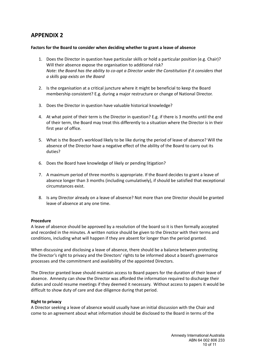# **APPENDIX 2**

# **Factors for the Board to consider when deciding whether to grant a leave of absence**

- 1. Does the Director in question have particular skills or hold a particular position (e.g. Chair)? Will their absence expose the organisation to additional risk? *Note: the Board has the ability to co-opt a Director under the Constitution if it considers that a skills gap exists on the Board*
- 2. Is the organisation at a critical juncture where it might be beneficial to keep the Board membership consistent? E.g. during a major restructure or change of National Director.
- 3. Does the Director in question have valuable historical knowledge?
- 4. At what point of their term is the Director in question? E.g. if there is 3 months until the end of their term, the Board may treat this differently to a situation where the Director is in their first year of office.
- 5. What is the Board's workload likely to be like during the period of leave of absence? Will the absence of the Director have a negative effect of the ability of the Board to carry out its duties?
- 6. Does the Board have knowledge of likely or pending litigation?
- 7. A maximum period of three months is appropriate. If the Board decides to grant a leave of absence longer than 3 months (including cumulatively), if should be satisfied that exceptional circumstances exist.
- 8. Is any Director already on a leave of absence? Not more than one Director should be granted leave of absence at any one time.

# **Procedure**

A leave of absence should be approved by a resolution of the board so it is then formally accepted and recorded in the minutes. A written notice should be given to the Director with their terms and conditions, including what will happen if they are absent for longer than the period granted.

When discussing and disclosing a leave of absence, there should be a balance between protecting the Director's right to privacy and the Directors' rights to be informed about a board's governance processes and the commitment and availability of the appointed Directors.

The Director granted leave should maintain access to Board papers for the duration of their leave of absence. Amnesty can show the Director was afforded the information required to discharge their duties and could resume meetings if they deemed it necessary. Without access to papers it would be difficult to show duty of care and due diligence during that period.

# **Right to privacy**

A Director seeking a leave of absence would usually have an initial discussion with the Chair and come to an agreement about what information should be disclosed to the Board in terms of the